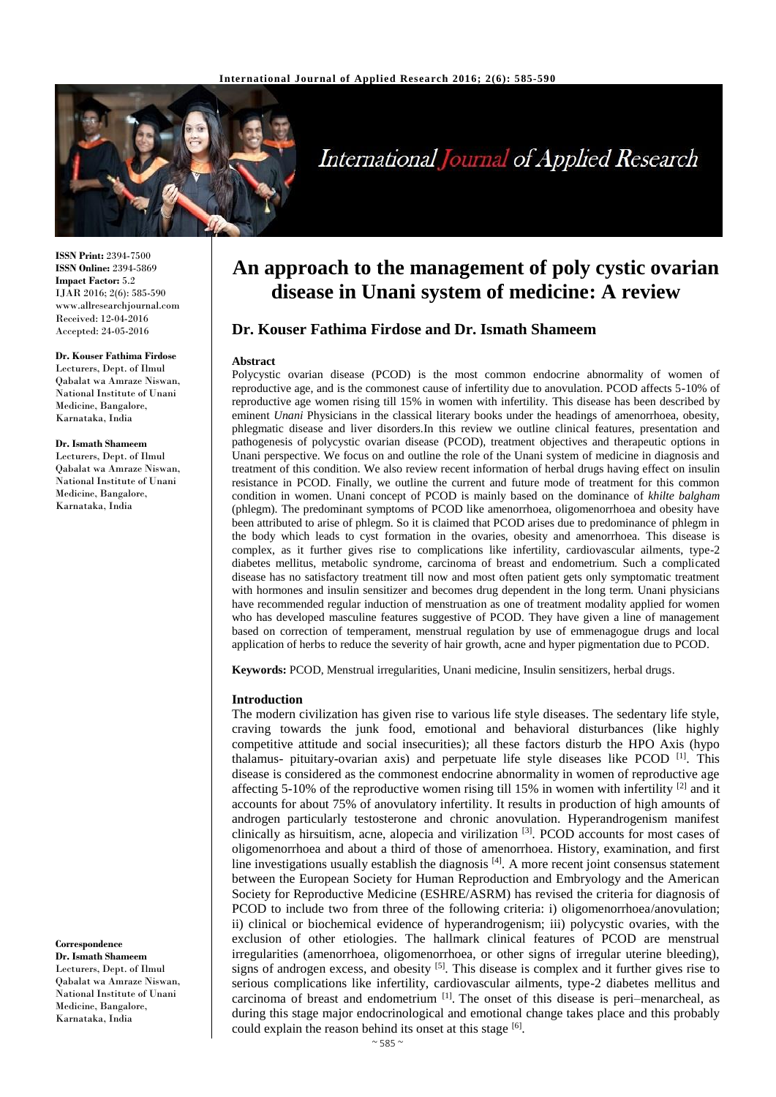

# **International Journal of Applied Research**

**ISSN Print:** 2394-7500 **ISSN Online:** 2394-5869 **Impact Factor:** 5.2 IJAR 2016; 2(6): 585-590 www.allresearchjournal.com Received: 12-04-2016 Accepted: 24-05-2016

#### **Dr. Kouser Fathima Firdose**

Lecturers, Dept. of Ilmul Qabalat wa Amraze Niswan, National Institute of Unani Medicine, Bangalore, Karnataka, India

#### **Dr. Ismath Shameem**

Lecturers, Dept. of Ilmul Qabalat wa Amraze Niswan, National Institute of Unani Medicine, Bangalore, Karnataka, India

**Correspondence Dr. Ismath Shameem** Lecturers, Dept. of Ilmul Qabalat wa Amraze Niswan, National Institute of Unani Medicine, Bangalore, Karnataka, India

## **An approach to the management of poly cystic ovarian disease in Unani system of medicine: A review**

## **Dr. Kouser Fathima Firdose and Dr. Ismath Shameem**

#### **Abstract**

Polycystic ovarian disease (PCOD) is the most common endocrine abnormality of women of reproductive age, and is the commonest cause of infertility due to anovulation. PCOD affects 5-10% of reproductive age women rising till 15% in women with infertility. This disease has been described by eminent *Unani* Physicians in the classical literary books under the headings of amenorrhoea, obesity, phlegmatic disease and liver disorders.In this review we outline clinical features, presentation and pathogenesis of polycystic ovarian disease (PCOD), treatment objectives and therapeutic options in Unani perspective. We focus on and outline the role of the Unani system of medicine in diagnosis and treatment of this condition. We also review recent information of herbal drugs having effect on insulin resistance in PCOD. Finally, we outline the current and future mode of treatment for this common condition in women. Unani concept of PCOD is mainly based on the dominance of *khilte balgham*  (phlegm). The predominant symptoms of PCOD like amenorrhoea, oligomenorrhoea and obesity have been attributed to arise of phlegm. So it is claimed that PCOD arises due to predominance of phlegm in the body which leads to cyst formation in the ovaries, obesity and amenorrhoea. This disease is complex, as it further gives rise to complications like infertility, cardiovascular ailments, type-2 diabetes mellitus, metabolic syndrome, carcinoma of breast and endometrium. Such a complicated disease has no satisfactory treatment till now and most often patient gets only symptomatic treatment with hormones and insulin sensitizer and becomes drug dependent in the long term. Unani physicians have recommended regular induction of menstruation as one of treatment modality applied for women who has developed masculine features suggestive of PCOD. They have given a line of management based on correction of temperament, menstrual regulation by use of emmenagogue drugs and local application of herbs to reduce the severity of hair growth, acne and hyper pigmentation due to PCOD.

**Keywords:** PCOD, Menstrual irregularities, Unani medicine, Insulin sensitizers, herbal drugs.

#### **Introduction**

The modern civilization has given rise to various life style diseases. The sedentary life style, craving towards the junk food, emotional and behavioral disturbances (like highly competitive attitude and social insecurities); all these factors disturb the HPO Axis (hypo thalamus- pituitary-ovarian axis) and perpetuate life style diseases like PCOD<sup>[1]</sup>. This disease is considered as the commonest endocrine abnormality in women of reproductive age affecting 5-10% of the reproductive women rising till 15% in women with infertility  $[2]$  and it accounts for about 75% of anovulatory infertility. It results in production of high amounts of androgen particularly testosterone and chronic anovulation. Hyperandrogenism manifest clinically as hirsuitism, acne, alopecia and virilization [3]. PCOD accounts for most cases of oligomenorrhoea and about a third of those of amenorrhoea. History, examination, and first line investigations usually establish the diagnosis  $[4]$ . A more recent joint consensus statement between the European Society for Human Reproduction and Embryology and the American Society for Reproductive Medicine (ESHRE/ASRM) has revised the criteria for diagnosis of PCOD to include two from three of the following criteria: i) oligomenorrhoea/anovulation; ii) clinical or biochemical evidence of hyperandrogenism; iii) polycystic ovaries, with the exclusion of other etiologies. The hallmark clinical features of PCOD are menstrual irregularities (amenorrhoea, oligomenorrhoea, or other signs of irregular uterine bleeding), signs of androgen excess, and obesity <sup>[5]</sup>. This disease is complex and it further gives rise to serious complications like infertility, cardiovascular ailments, type-2 diabetes mellitus and carcinoma of breast and endometrium <sup>[1]</sup>. The onset of this disease is peri–menarcheal, as during this stage major endocrinological and emotional change takes place and this probably could explain the reason behind its onset at this stage [6].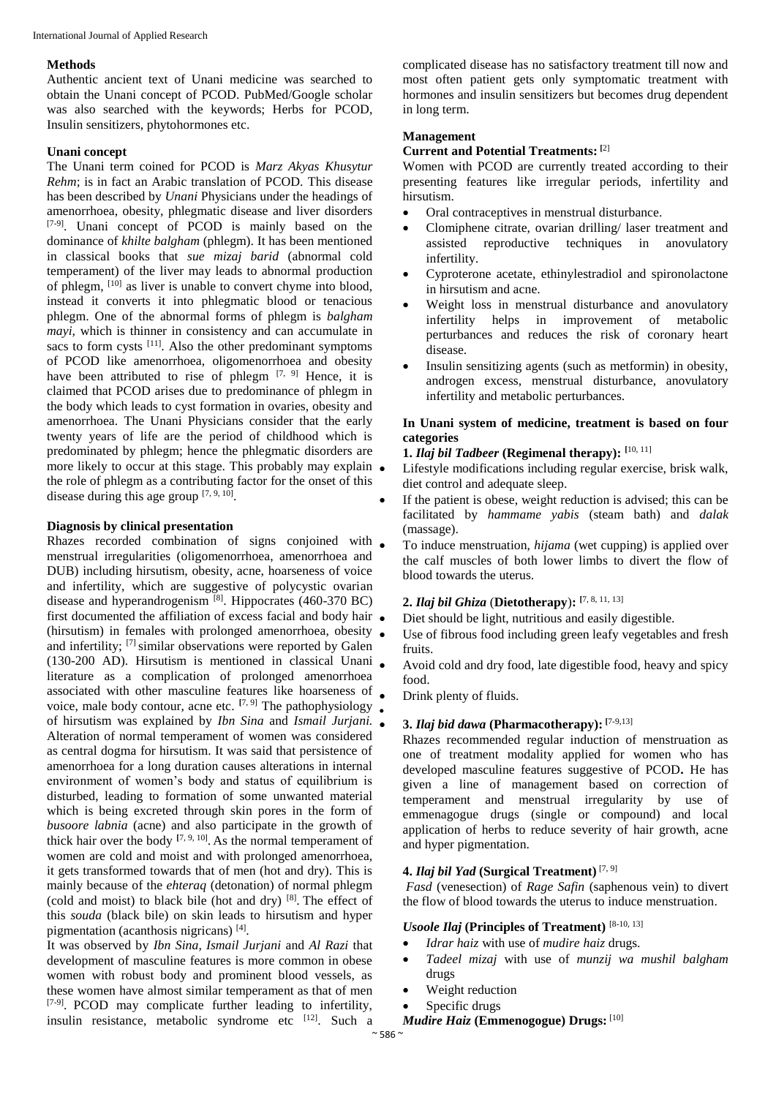#### **Methods**

Authentic ancient text of Unani medicine was searched to obtain the Unani concept of PCOD. PubMed/Google scholar was also searched with the keywords; Herbs for PCOD, Insulin sensitizers, phytohormones etc.

#### **Unani concept**

The Unani term coined for PCOD is *Marz Akyas Khusytur Rehm*; is in fact an Arabic translation of PCOD. This disease has been described by *Unani* Physicians under the headings of amenorrhoea, obesity, phlegmatic disease and liver disorders [7-9]. Unani concept of PCOD is mainly based on the dominance of *khilte balgham* (phlegm). It has been mentioned in classical books that *sue mizaj barid* (abnormal cold temperament) of the liver may leads to abnormal production of phlegm, <sup>[10]</sup> as liver is unable to convert chyme into blood, instead it converts it into phlegmatic blood or tenacious phlegm. One of the abnormal forms of phlegm is *balgham mayi,* which is thinner in consistency and can accumulate in sacs to form cysts  $[11]$ . Also the other predominant symptoms of PCOD like amenorrhoea, oligomenorrhoea and obesity have been attributed to rise of phlegm  $[7, 9]$  Hence, it is claimed that PCOD arises due to predominance of phlegm in the body which leads to cyst formation in ovaries, obesity and amenorrhoea. The Unani Physicians consider that the early twenty years of life are the period of childhood which is predominated by phlegm; hence the phlegmatic disorders are more likely to occur at this stage. This probably may explain  $\bullet$ the role of phlegm as a contributing factor for the onset of this disease during this age group  $[7, 9, 10]$ .

#### **Diagnosis by clinical presentation**

Rhazes recorded combination of signs conjoined with menstrual irregularities (oligomenorrhoea, amenorrhoea and DUB) including hirsutism, obesity, acne, hoarseness of voice and infertility, which are suggestive of polycystic ovarian disease and hyperandrogenism<sup>[8]</sup>. Hippocrates (460-370 BC) first documented the affiliation of excess facial and body hair  $\bullet$ (hirsutism) in females with prolonged amenorrhoea, obesity and infertility; [7] similar observations were reported by Galen (130-200 AD). Hirsutism is mentioned in classical Unani literature as a complication of prolonged amenorrhoea associated with other masculine features like hoarseness of voice, male body contour, acne etc. <sup>[7, 9]</sup> The pathophysiology • of hirsutism was explained by *Ibn Sina* and *Ismail Jurjani.* Alteration of normal temperament of women was considered as central dogma for hirsutism. It was said that persistence of amenorrhoea for a long duration causes alterations in internal environment of women's body and status of equilibrium is disturbed, leading to formation of some unwanted material which is being excreted through skin pores in the form of *busoore labnia* (acne) and also participate in the growth of thick hair over the body  $[7, 9, 10]$ . As the normal temperament of women are cold and moist and with prolonged amenorrhoea, it gets transformed towards that of men (hot and dry). This is mainly because of the *ehteraq* (detonation) of normal phlegm (cold and moist) to black bile (hot and dry) [8] . The effect of this *souda* (black bile) on skin leads to hirsutism and hyper pigmentation (acanthosis nigricans) [4] .

It was observed by *Ibn Sina, Ismail Jurjani* and *Al Razi* that development of masculine features is more common in obese women with robust body and prominent blood vessels, as these women have almost similar temperament as that of men [7-9]. PCOD may complicate further leading to infertility, insulin resistance, metabolic syndrome etc [12]. Such a complicated disease has no satisfactory treatment till now and most often patient gets only symptomatic treatment with hormones and insulin sensitizers but becomes drug dependent in long term.

#### **Management**

## **Current and Potential Treatments: [**2]

Women with PCOD are currently treated according to their presenting features like irregular periods, infertility and hirsutism.

- Oral contraceptives in menstrual disturbance.
- Clomiphene citrate, ovarian drilling/ laser treatment and assisted reproductive techniques in anovulatory infertility.
- Cyproterone acetate, ethinylestradiol and spironolactone in hirsutism and acne.
- Weight loss in menstrual disturbance and anovulatory infertility helps in improvement of metabolic perturbances and reduces the risk of coronary heart disease.
- Insulin sensitizing agents (such as metformin) in obesity, androgen excess, menstrual disturbance, anovulatory infertility and metabolic perturbances.

#### **In Unani system of medicine, treatment is based on four categories**

## **1.** *Ilaj bil Tadbeer* **(Regimenal therapy): [**10, 11]

- Lifestyle modifications including regular exercise, brisk walk, diet control and adequate sleep.
- If the patient is obese, weight reduction is advised; this can be facilitated by *hammame yabis* (steam bath) and *dalak*  (massage).
- To induce menstruation, *hijama* (wet cupping) is applied over the calf muscles of both lower limbs to divert the flow of blood towards the uterus.

## **2.** *Ilaj bil Ghiza* (**Dietotherapy**)**: [**7, 8, 11, 13]

- Diet should be light, nutritious and easily digestible.
- Use of fibrous food including green leafy vegetables and fresh fruits.
- Avoid cold and dry food, late digestible food, heavy and spicy food.
- Drink plenty of fluids.

#### **3.** *Ilaj bid dawa* **(Pharmacotherapy): [**7-9,13]

Rhazes recommended regular induction of menstruation as one of treatment modality applied for women who has developed masculine features suggestive of PCOD**.** He has given a line of management based on correction of temperament and menstrual irregularity by use of emmenagogue drugs (single or compound) and local application of herbs to reduce severity of hair growth, acne and hyper pigmentation.

## **4.** *Ilaj bil Yad* **(Surgical Treatment)** [7, 9]

*Fasd* (venesection) of *Rage Safin* (saphenous vein) to divert the flow of blood towards the uterus to induce menstruation.

#### *Usoole Ilaj* **(Principles of Treatment)** [8-10, 13]

- *Idrar haiz* with use of *mudire haiz* drugs.
- *Tadeel mizaj* with use of *munzij wa mushil balgham* drugs
- Weight reduction
- Specific drugs

#### *Mudire Haiz* **(Emmenogogue) Drugs:** [10]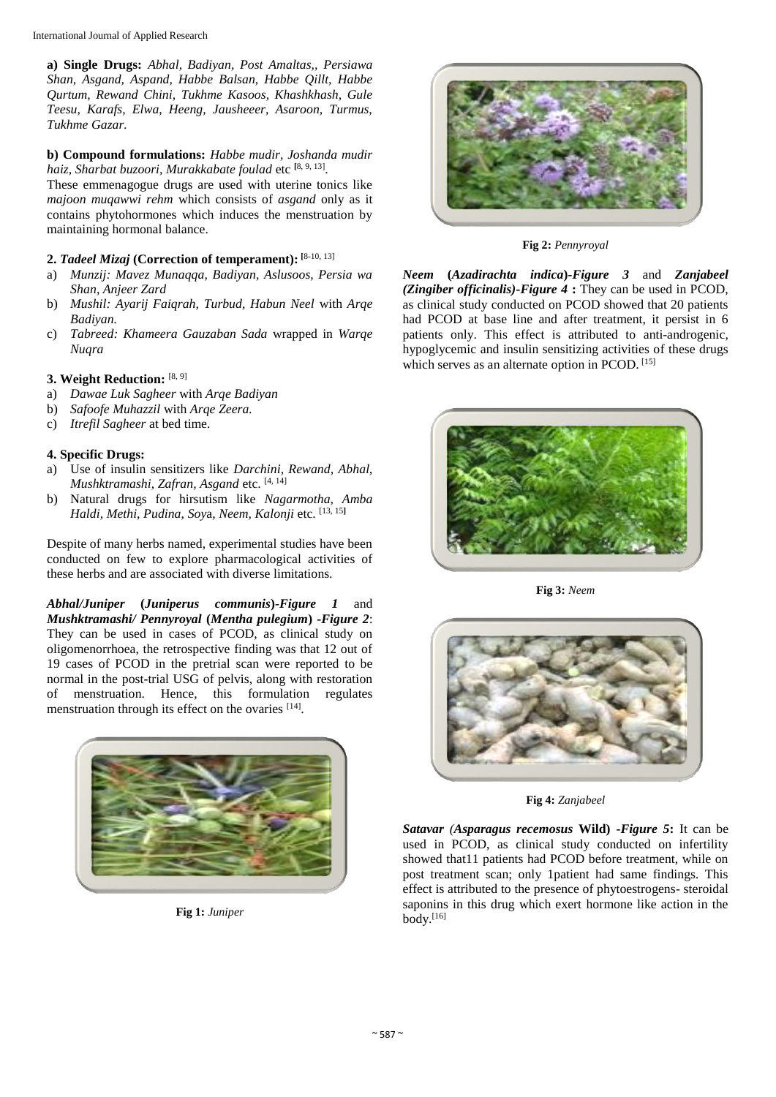**a) Single Drugs:** *Abhal, Badiyan, Post Amaltas,, Persiawa Shan, Asgand, Aspand, Habbe Balsan, Habbe Qillt, Habbe Qurtum, Rewand Chini, Tukhme Kasoos, Khashkhash, Gule Teesu, Karafs, Elwa, Heeng, Jausheeer, Asaroon, Turmus, Tukhme Gazar.*

**b) Compound formulations:** *Habbe mudir, Joshanda mudir haiz, Sharbat buzoori, Murakkabate foulad* etc **[**8, 9, 13] .

These emmenagogue drugs are used with uterine tonics like *majoon muqawwi rehm* which consists of *asgand* only as it contains phytohormones which induces the menstruation by maintaining hormonal balance.

## **2.** *Tadeel Mizaj* **(Correction of temperament): [**8-10, 13]

- a) *Munzij: Mavez Munaqqa, Badiyan, Aslusoos, Persia wa Shan, Anjeer Zard*
- b) *Mushil: Ayarij Faiqrah, Turbud, Habun Neel* with *Arqe Badiyan.*
- c) *Tabreed: Khameera Gauzaban Sada* wrapped in *Warqe Nuqra*

## **3. Weight Reduction:** [8, 9]

- a) *Dawae Luk Sagheer* with *Arqe Badiyan*
- b) *Safoofe Muhazzil* with *Arqe Zeera.*
- c) *Itrefil Sagheer* at bed time.

### **4. Specific Drugs:**

- a) Use of insulin sensitizers like *Darchini, Rewand, Abhal, Mushktramashi, Zafran, Asgand* etc. [4, 14]
- b) Natural drugs for hirsutism like *Nagarmotha, Amba Haldi, Methi, Pudina, Soy*a, *Neem, Kalonji* etc. [13, <sup>15</sup>**]**

Despite of many herbs named, experimental studies have been conducted on few to explore pharmacological activities of these herbs and are associated with diverse limitations.

*Abhal/Juniper* **(***Juniperus communis***)-***Figure 1* and *Mushktramashi/ Pennyroyal* **(***Mentha pulegium***) -***Figure 2*: They can be used in cases of PCOD, as clinical study on oligomenorrhoea, the retrospective finding was that 12 out of 19 cases of PCOD in the pretrial scan were reported to be normal in the post-trial USG of pelvis, along with restoration of menstruation. Hence, this formulation regulates menstruation through its effect on the ovaries [14].



**Fig 1:** *Juniper*



**Fig 2:** *Pennyroyal*

*Neem* **(***Azadirachta indica***)***-Figure 3* and *Zanjabeel (Zingiber officinalis)-Figure 4* **:** They can be used in PCOD, as clinical study conducted on PCOD showed that 20 patients had PCOD at base line and after treatment, it persist in 6 patients only. This effect is attributed to anti-androgenic, hypoglycemic and insulin sensitizing activities of these drugs which serves as an alternate option in PCOD. [15]



**Fig 3:** *Neem*



**Fig 4:** *Zanjabeel*

*Satavar (Asparagus recemosus* **Wild) -***Figure 5***:** It can be used in PCOD, as clinical study conducted on infertility showed that11 patients had PCOD before treatment, while on post treatment scan; only 1patient had same findings. This effect is attributed to the presence of phytoestrogens- steroidal saponins in this drug which exert hormone like action in the body. [16]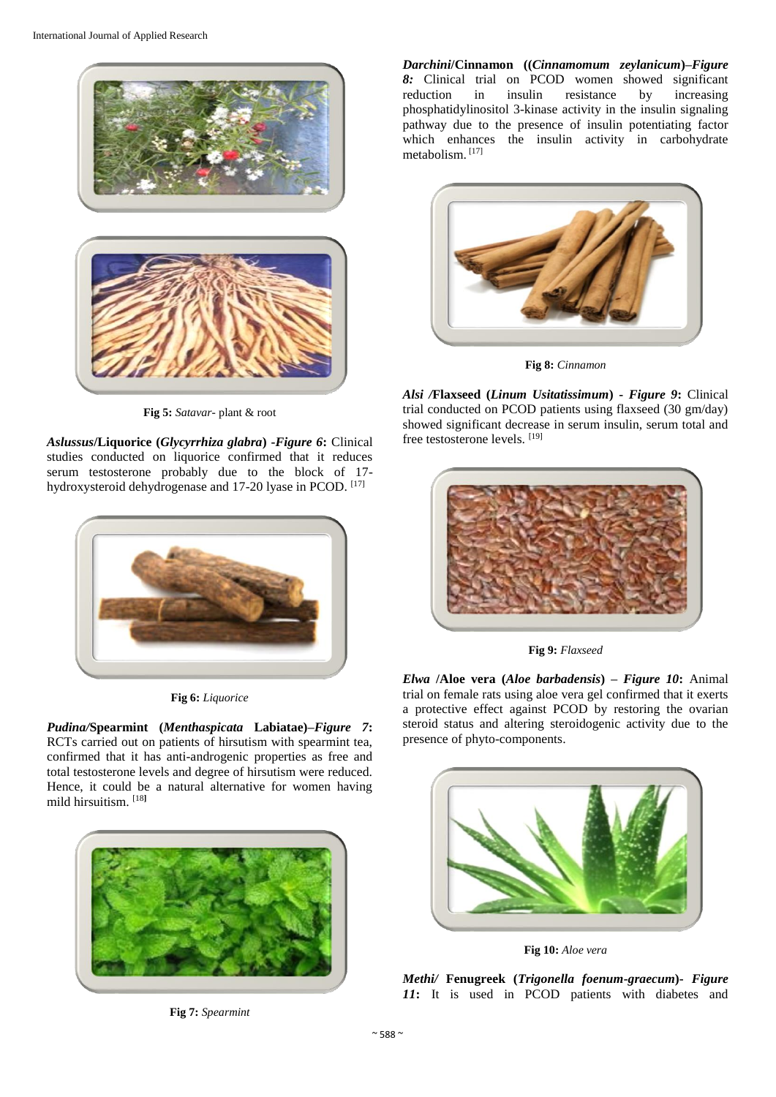

**Fig 5:** *Satavar*- plant & root

*Aslussus***/Liquorice (***Glycyrrhiza glabra***) -***Figure 6***:** Clinical studies conducted on liquorice confirmed that it reduces serum testosterone probably due to the block of 17 hydroxysteroid dehydrogenase and 17-20 lyase in PCOD. [17]



**Fig 6:** *Liquorice*

*Pudina/***Spearmint (***Menthaspicata* **Labiatae)–***Figure 7***:**  RCTs carried out on patients of hirsutism with spearmint tea, confirmed that it has anti-androgenic properties as free and total testosterone levels and degree of hirsutism were reduced. Hence, it could be a natural alternative for women having mild hirsuitism. [18**]**



**Fig 7:** *Spearmint*

*Darchini***/Cinnamon ((***Cinnamomum zeylanicum***)–***Figure 8:* Clinical trial on PCOD women showed significant reduction in insulin resistance by increasing phosphatidylinositol 3-kinase activity in the insulin signaling pathway due to the presence of insulin potentiating factor which enhances the insulin activity in carbohydrate metabolism. [17]



**Fig 8:** *Cinnamon*

*Alsi /***Flaxseed (***Linum Usitatissimum***) -** *Figure 9***:** Clinical trial conducted on PCOD patients using flaxseed (30 gm/day) showed significant decrease in serum insulin, serum total and free testosterone levels. [19]



**Fig 9:** *Flaxseed*

*Elwa* **/Aloe vera (***Aloe barbadensis***) –** *Figure 10***:** Animal trial on female rats using aloe vera gel confirmed that it exerts a protective effect against PCOD by restoring the ovarian steroid status and altering steroidogenic activity due to the presence of phyto-components.



**Fig 10:** *Aloe vera*

*Methi/* **Fenugreek (***Trigonella foenum-graecum***)-** *Figure 11***:** It is used in PCOD patients with diabetes and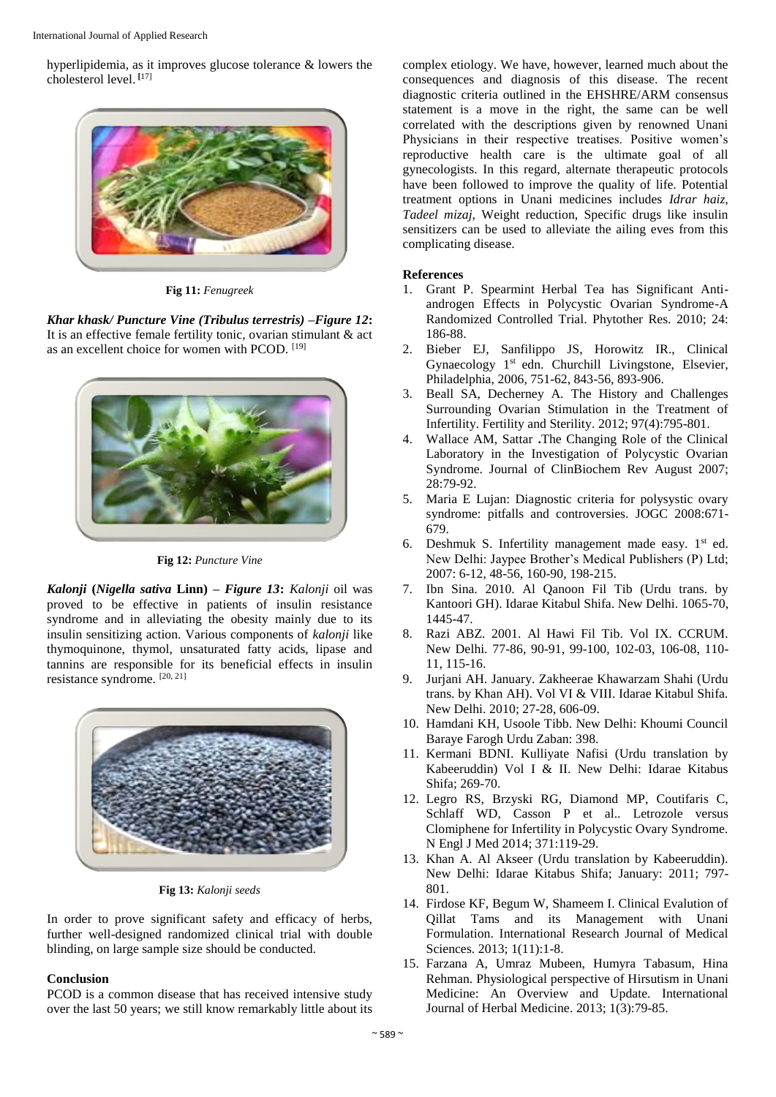International Journal of Applied Research

hyperlipidemia, as it improves glucose tolerance & lowers the cholesterol level. **[**17]



**Fig 11:** *Fenugreek*

*Khar khask/ Puncture Vine (Tribulus terrestris) –Figure 12***:**  It is an effective female fertility tonic, ovarian stimulant & act as an excellent choice for women with PCOD. [19]



**Fig 12:** *Puncture Vine*

*Kalonji* **(***Nigella sativa* **Linn) –** *Figure 13***:** *Kalonji* oil was proved to be effective in patients of insulin resistance syndrome and in alleviating the obesity mainly due to its insulin sensitizing action. Various components of *kalonji* like thymoquinone, thymol, unsaturated fatty acids, lipase and tannins are responsible for its beneficial effects in insulin resistance syndrome. [20, 21]



**Fig 13:** *Kalonji seeds*

In order to prove significant safety and efficacy of herbs, further well-designed randomized clinical trial with double blinding, on large sample size should be conducted.

#### **Conclusion**

PCOD is a common disease that has received intensive study over the last 50 years; we still know remarkably little about its complex etiology. We have, however, learned much about the consequences and diagnosis of this disease. The recent diagnostic criteria outlined in the EHSHRE/ARM consensus statement is a move in the right, the same can be well correlated with the descriptions given by renowned Unani Physicians in their respective treatises. Positive women's reproductive health care is the ultimate goal of all gynecologists. In this regard, alternate therapeutic protocols have been followed to improve the quality of life. Potential treatment options in Unani medicines includes *Idrar haiz, Tadeel mizaj,* Weight reduction, Specific drugs like insulin sensitizers can be used to alleviate the ailing eves from this complicating disease.

#### **References**

- 1. Grant P. Spearmint Herbal Tea has Significant Antiandrogen Effects in Polycystic Ovarian Syndrome-A Randomized Controlled Trial. Phytother Res. 2010; 24: 186-88.
- 2. Bieber EJ, Sanfilippo JS, Horowitz IR., Clinical Gynaecology  $1<sup>st</sup>$  edn. Churchill Livingstone, Elsevier, Philadelphia, 2006, 751-62, 843-56, 893-906.
- 3. Beall SA, Decherney A. The History and Challenges Surrounding Ovarian Stimulation in the Treatment of Infertility. Fertility and Sterility. 2012; 97(4):795-801.
- 4. Wallace AM, Sattar **.**The Changing Role of the Clinical Laboratory in the Investigation of Polycystic Ovarian Syndrome. Journal of ClinBiochem Rev August 2007; 28:79-92.
- 5. Maria E Lujan: Diagnostic criteria for polysystic ovary syndrome: pitfalls and controversies. JOGC 2008:671- 679.
- 6. Deshmuk S. Infertility management made easy.  $1<sup>st</sup>$  ed. New Delhi: Jaypee Brother's Medical Publishers (P) Ltd; 2007: 6-12, 48-56, 160-90, 198-215.
- 7. Ibn Sina. 2010. Al Qanoon Fil Tib (Urdu trans. by Kantoori GH). Idarae Kitabul Shifa. New Delhi. 1065-70, 1445-47.
- 8. Razi ABZ. 2001. Al Hawi Fil Tib. Vol IX. CCRUM. New Delhi. 77-86, 90-91, 99-100, 102-03, 106-08, 110- 11, 115-16.
- 9. Jurjani AH. January. Zakheerae Khawarzam Shahi (Urdu trans. by Khan AH). Vol VI & VIII. Idarae Kitabul Shifa. New Delhi. 2010; 27-28, 606-09.
- 10. Hamdani KH, Usoole Tibb. New Delhi: Khoumi Council Baraye Farogh Urdu Zaban: 398.
- 11. Kermani BDNI. Kulliyate Nafisi (Urdu translation by Kabeeruddin) Vol I & II. New Delhi: Idarae Kitabus Shifa; 269-70.
- 12. Legro RS, Brzyski RG, Diamond MP, Coutifaris C, Schlaff WD, Casson P et al.. Letrozole versus Clomiphene for Infertility in Polycystic Ovary Syndrome. N Engl J Med 2014; 371:119-29.
- 13. Khan A. Al Akseer (Urdu translation by Kabeeruddin). New Delhi: Idarae Kitabus Shifa; January: 2011; 797- 801.
- 14. Firdose KF, Begum W, Shameem I. Clinical Evalution of Qillat Tams and its Management with Unani Formulation. International Research Journal of Medical Sciences. 2013; 1(11):1-8.
- 15. Farzana A, Umraz Mubeen, Humyra Tabasum, Hina Rehman. Physiological perspective of Hirsutism in Unani Medicine: An Overview and Update. International Journal of Herbal Medicine. 2013; 1(3):79-85.